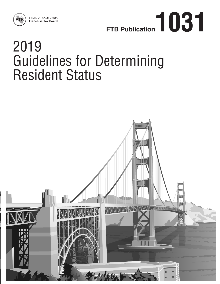



# 2019 Guidelines for Determining Resident Status

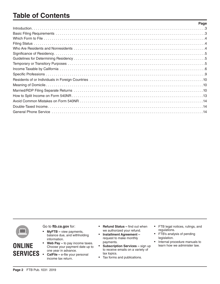# **Table of Contents**

| Page |
|------|
|      |
|      |
|      |
|      |
|      |
|      |
|      |
|      |
|      |
|      |
|      |
|      |
|      |
|      |
|      |
|      |
|      |



**ONLINE**

Go to **ftb.ca.gov** for:

- **MyFTB** view payments, balance due, and withholding information.
- **SERVICES** • **Web Pay –** to pay income taxes. Choose your payment date up to one year in advance.
	- **CalFile –** e-file your personal income tax return.
- **Refund Status –** find out when we authorized your refund.
- **Installment Agreement –** request to make monthly payments.
- **Subscription Services –** sign up to receive emails on a variety of tax topics.
- Tax forms and publications.
- FTB legal notices, rulings, and regulations.
- FTB's analysis of pending legislation.
- Internal procedure manuals to learn how we administer law.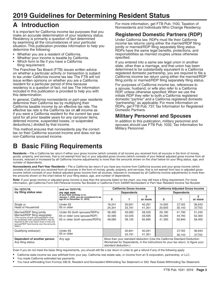# <span id="page-2-0"></span>**A Introduction**

It is important for California income tax purposes that you make an accurate determination of your residency status. Residency is primarily a question of fact determined by examining all the circumstances of your particular situation. This publication provides information to help you determine the following:

- **•** Whether you are a resident of California.
- **•** Whether your income is taxable by California.
- **•** Which form to file if you have a California filing requirement.

The Franchise Tax Board (FTB) issues written advice on whether a particular activity or transaction is subject to tax under California income tax law. The FTB will not issue written opinions on whether you are a California resident for a particular period of time because residency is a question of fact, not law. The information included in this publication is provided to help you with this determination.

In general, California nonresidents or part-year residents determine their California tax by multiplying their California taxable income by an effective tax rate. The effective tax rate is the California tax on **all** income as if you were a California resident for the current tax year (and for all prior taxable years for any carryover items, deferred income, suspended losses, or suspended deductions,) divided by that income.

This method ensures that nonresidents pay the correct tax on their California sourced income and does not tax non-California sourced income.

For more information, get FTB Pub. 1100, Taxation of Nonresidents and Individuals Who Change Residency.

### **Registered Domestic Partners (RDP)**

Under California law, RDPs must file their California income tax returns using either the married/RDP filing jointly or married/RDP filing separately filing status. RDPs have the same legal benefits, protections, and responsibilities as married couples unless otherwise specified.

If you entered into a same sex legal union in another state, other than a marriage, and that union has been determined to be substantially equivalent to a California registered domestic partnership, you are required to file a California income tax return using either the married/RDP filing jointly or married/RDP filing separately filing status.

For purposes of California income tax, references to a spouse, husband, or wife also refer to a California RDP, unless otherwise specified. When we use the initials RDP they refer to both a California registered domestic "partner" and a California registered domestic "partnership," as applicable. For more information on RDPs, get FTB Pub. 737, Tax Information for Registered Domestic Partners.

# **Military Personnel and Spouses**

In addition to this publication, military personnel and spouses should use FTB Pub. 1032, Tax Information for Military Personnel.

# **B Basic Filing Requirements**

Residents - File a California tax return if either your gross income (which consists of all income you received from all sources in the form of money, goods, property, and services, that is not exempt from tax) or your adjusted gross income (which consists of your federal adjusted gross income from all sources, reduced or increased by all California income adjustments) is more than the amounts shown on the chart below for your filing status, age, and number of dependents.

**Nonresidents and Part-Year Residents –** File a California tax return if you have any income from California sources and your gross income (which consists of all income you received from all sources in the form of money, goods, property, and services, that is not exempt from tax) or adjusted gross income (which consists of your federal adjusted gross income from all sources, reduced or increased by all California income adjustments) is more than the amounts shown on the chart below for your filing status, age, and number of dependents.

Note: If your gross income or adjusted gross income is less than the amounts listed on the chart, you may still have a filing requirement. For more information, get California Form 540 Personal Income Tax Booklet or California Form 540NR Nonresident or Part-Year Resident Income Tax Booklet.

| On 12/31/19.                                                                                                                                                                                                                                         | and on 12/31/19.                                                                                          | <b>California Gross Income</b><br><b>Dependents</b>                                                                                                                                   |                            |                            | <b>California Adjusted Gross Income</b><br><b>Dependents</b> |                            |                            |
|------------------------------------------------------------------------------------------------------------------------------------------------------------------------------------------------------------------------------------------------------|-----------------------------------------------------------------------------------------------------------|---------------------------------------------------------------------------------------------------------------------------------------------------------------------------------------|----------------------------|----------------------------|--------------------------------------------------------------|----------------------------|----------------------------|
| my filing status was:                                                                                                                                                                                                                                | my age was:                                                                                               |                                                                                                                                                                                       |                            |                            |                                                              |                            |                            |
|                                                                                                                                                                                                                                                      | (If your 65th birthday is on<br>January 1, 2020, you are considered to be<br>age 65 on December 31, 2019) | 0                                                                                                                                                                                     |                            | $\overline{2}$<br>or more  | 0                                                            |                            | $\mathbf{2}$<br>or more    |
| Single or<br>Head of Household                                                                                                                                                                                                                       | Under 65<br>65 or older                                                                                   | 18.241<br>24,341                                                                                                                                                                      | 30.841<br>33,791           | 40.291<br>41,351           | 14.593<br>20,693                                             | 27.193<br>30,143           | 36,643<br>37,703           |
| Married/RDP filing jointly<br>Married/RDP filing separately<br>The income of both spouses/RDPs must<br>be combined; both spouses/RDPs may be<br>required to file a tax return even if only one<br>spouse/RDP had income over the amounts<br>listed.) | Under 65 (both spouses/RDPs)<br>65 or older (one spouse/RDP)<br>65 or older (both spouses/RDPs)           | 36,485<br>42,585<br>48.685                                                                                                                                                            | 49,085<br>52,035<br>58.135 | 58,535<br>59.595<br>65.695 | 29,190<br>35,290<br>41.390                                   | 41.790<br>44.740<br>50.840 | 51,240<br>52,300<br>58,400 |
| Qualifying widow(er)                                                                                                                                                                                                                                 | Under 65<br>65 or older                                                                                   |                                                                                                                                                                                       | 30.841<br>33.791           | 40,291<br>41.351           |                                                              | 27,193<br>30.143           | 36,643<br>37.703           |
| Dependent of another person<br>Any filing status                                                                                                                                                                                                     | Any age                                                                                                   | More than your standard deduction (Use the California Standard Deduction<br>Worksheet for Dependents, in the instructions for your tax return, to figure your<br>standard deduction.) |                            |                            |                                                              |                            |                            |

Even if you do not meet the basic filing requirements, you should still file a tax return in order to get a refund if any of the following apply:

- **•** California state income tax was withheld from your pay, California real estate sale, or income from an S corporation, partnership, or LLC.
- **•** You made California estimated tax payments.
- **•** You have withholding from Form(s) 592-B, Resident and Nonresident Withholding Tax Statement or 593, Real Estate Withholding Tax Statement.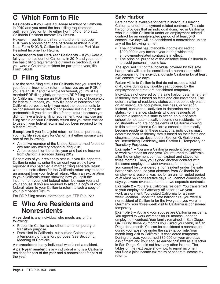# <span id="page-3-0"></span>**C Which Form to File**

**Residents –** If you were a full-year resident of California in 2019 and you meet the basic filing requirements outlined in Section B, file either Form 540 or 540 2EZ, California Resident Income Tax Return.

However, if you file a joint return and either spouse/ RDP was a nonresident or a part-year resident in 2019, file a Form 540NR, California Nonresident or Part-Year Resident Income Tax Return.

**Nonresidents and Part-Year Residents –** If you were a full-year nonresident of California in 2019 and you meet the basic filing requirements outlined in Section B, or if you were a California resident for part of the year, file Form 540NR.

# **D Filing Status**

Use the same filing status for California that you used for your federal income tax return, unless you are an RDP. If you are an RDP and file single for federal, you must file married/RDP filing jointly or married/RDP filing separately for California. If you are an RDP and file head of household for federal purposes, you may file head of household for California purposes only if you meet the requirements to be considered unmarried or considered not in a domestic partnership. If you did not file a federal return because you did not have a federal filing requirement, you may use any filing status on your California return that you were entitled to use on your federal return had you been required to file a federal return.

**Exception:** If you file a joint return for federal purposes, you may file separately for California if either spouse was one of the following:

- An active member of the United States armed forces or any auxiliary military branch during 2019.
- A nonresident for the entire year and had no income from California sources during 2019.

Regardless of your residency status, if you file separate California returns, enter the amount you would have reported if you had filed a married filing separate return when the instructions for the California return say to enter an amount from your federal return. Attach an explanation to your California return showing how you split the income from your joint federal return between you and your spouse. If you are required to attach a copy of your federal return to your California return, attach a copy of your joint federal return.

For RDP filing status information, get FTB Pub. 737.

# **E Who Are Residents and Nonresidents**

A **resident** is any individual who meets any of the following:

- **•** Present in California for other than a temporary or
- transitory purpose. **•** Domiciled in California, but outside California for a temporary or transitory purpose. See Section L, Meaning of Domicile.

A **nonresident** is any individual who is not a resident.

A **part-year resident** is any individual who is a California resident for part of the year and a nonresident for part of the year.

### **Safe Harbor**

Safe harbor is available for certain individuals leaving California under employment-related contracts. The safe harbor provides that an individual domiciled in California who is outside California under an employment-related contract for an uninterrupted period of at least 546 consecutive days will be considered a nonresident unless any of the following is met:

- **•** The individual has intangible income exceeding \$200,000 in any taxable year during which the employment-related contract is in effect.
- **•** The principal purpose of the absence from California is to avoid personal income tax.

The spouse/RDP of the individual covered by this safe harbor rule will also be considered a nonresident while accompanying the individual outside California for at least 546 consecutive days.

Return visits to California that do not exceed a total of 45 days during any taxable year covered by the employment contract are considered temporary.

Individuals not covered by the safe harbor determine their residency status based on facts and circumstances. The determination of residency status cannot be solely based on an individual's occupation, business, or vocation. Instead, consider all activities to determine residency status. For instance, students who are residents of California leaving this state to attend an out-of-state school do not automatically become nonresidents, nor do students who are nonresidents of California coming to this state to attend a California school automatically become residents. In these situations, individuals must determine their residency status based on their facts and circumstances, as described in Section G, Guidelines for Determining Residency, and Section H, Temporary or Transitory Purposes.

**Example 1 – You are a California resident. You agreed** to work overseas for one year. You returned to California after the employment contract expired and stayed for three months. Then, you signed another contract with the same employer to work overseas for another year. You cannot be considered a nonresident under the safe harbor rule because your absence from California for employment reasons was not for an uninterrupted period of at least 546 consecutive days. You cannot combine the days you were overseas from the two separate contracts.

**Example 2 –** You are a California resident. You transferred to your employer's Germany office for a two-year work assignment. You visited California for a threeweek vacation. Under the safe harbor rule, you were a nonresident of California for the two years you were in Germany. Your three-week visit to California is considered temporary.

**Example 3 –** You and your spouse are California residents. You agreed to work overseas for 20 months under an employment contract. Your family remained in San Diego, CA. During those 20 months you visited your family in San Diego for a month. You can be considered a nonresident during your absence under the safe-harbor rule. Your month-long visit to California is considered temporary. During the year, you earned \$80,000 on your overseas assignment and your spouse earned \$30,000 as a teacher in San Diego. You did not have any other income. The tables on the next page show how to report income if you filed a joint income tax return or separate income tax returns.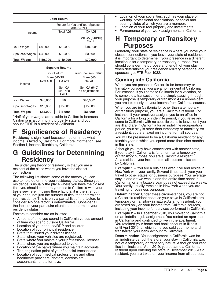<span id="page-4-0"></span>

| <b>Joint Return</b>                                      |          |                                              |                          |  |  |
|----------------------------------------------------------|----------|----------------------------------------------|--------------------------|--|--|
|                                                          |          | Return for You and Your Spouse<br>Form 540NR |                          |  |  |
| Income                                                   |          | <b>Total AGI</b>                             | CA AGI                   |  |  |
|                                                          |          |                                              | Sch CA (540NR)<br>Col. E |  |  |
| Your Wages                                               | \$80,000 | \$80,000                                     | \$40,000*                |  |  |
| \$30,000<br>Spouse's Wages                               |          | \$30,000                                     | \$30,000                 |  |  |
| \$110,000<br>\$110,000<br><b>Total Wages</b><br>\$70,000 |          |                                              |                          |  |  |

| <b>Separate Returns</b> |                  |                             |                                |  |  |
|-------------------------|------------------|-----------------------------|--------------------------------|--|--|
|                         | Your Return      |                             | Your Spouse's Return           |  |  |
|                         | Form 540NR       |                             | Form 540                       |  |  |
|                         | <b>Total AGI</b> | CA AGI                      | <b>Total AGI</b>               |  |  |
| Income                  |                  | Sch CA<br>(540NR)<br>Col. E | Sch CA (540)<br>no adjustments |  |  |
| Your Wages              | \$40,000         | \$0                         | \$40,000*                      |  |  |
| Spouse's Wages          | \$15,000         | \$15,000                    | \$15,000                       |  |  |
| <b>Total Wages</b>      | \$55,000         | \$15,000                    | \$55,000                       |  |  |

\*Half of your wages are taxable to California because California is a community property state and your spouse/RDP is a resident of California.

# **Significance of Residency**

Residency is significant because it determines what income is taxed by California. For more information, see Section I, Income Taxable by California.

# **G Guidelines for Determining Residency**

The underlying theory of residency is that you are a resident of the place where you have the closest connections.

The following list shows some of the factors you can use to help determine your residency status. Since your residence is usually the place where you have the closest ties, you should compare your ties to California with your ties elsewhere. In using these factors, it is the strength of your ties, not just the number of ties, that determines your residency. This is only a partial list of the factors to consider. No one factor is determinative. Consider all the facts of your particular situation to determine your residency status.

Factors to consider are as follows:

- **•** Amount of time you spend in California versus amount
- Location of your spouse/RDP and children.
- **•** Location of your principal residence.
- **•** State that issued your driver's license.
- **•** State where your vehicles are registered.
- **•** State where you maintain your professional licenses.
- **•** State where you are registered to vote.
- **•** Location of the banks where you maintain accounts.
- **•** The origination point of your financial transactions.
- **•** Location of your medical professionals and other healthcare providers (doctors, dentists etc.), accountants, and attorneys.
- **•** Location of your social ties, such as your place of worship, professional associations, or social and country clubs of which you are a member.
- **•** Location of your real property and investments.
- **•** Permanence of your work assignments in California.

# **H Temporary or Transitory Purposes**

Generally, your state of residence is where you have your closest connections. If you leave your state of residence, it is important to determine if your presence in a different location is for a temporary or transitory purpose. You should consider the purpose and length of your stay when determining your residency. Military personnel and spouses, get FTB Pub. 1032.

# **Coming into California**

When you are present in California for temporary or transitory purposes, you are a nonresident of California. For instance, if you come to California for a vacation, or to complete a transaction, or are simply passing through, your purpose is temporary or transitory. As a nonresident, you are taxed only on your income from California sources.

When you are in California for other than a temporary or transitory purpose, you are a California resident. For instance, if your employer assigns you to an office in California for a long or indefinite period, if you retire and come to California with no specific plans to leave, or if you are ill and are in California for an indefinite recuperation period, your stay is other than temporary or transitory. As a resident, you are taxed on income from all sources.

You will be presumed to be a California resident for any taxable year in which you spend more than nine months in this state.

Although you may have connections with another state, if your stay in California is for other than a temporary or transitory purpose, you are a California resident. As a resident, your income from all sources is taxable by California.

**Example 1 –** You are a business executive and reside in New York with your family. Several times each year you travel to other states for business purposes. Your average stay is one or two weeks and the entire time spent in California for any taxable year does not exceed six weeks. Your family usually remains in New York when you are traveling for business purposes.

**Determination:** Under these circumstances, you are not a California resident because your stays in California are temporary or transitory in nature. As a nonresident, you are taxed only on your income from California sources, including your income for services performed in California.

**Example 2 –** In December 2018, you moved to California on an indefinite job assignment. You rented an apartment in California and continued to live in the apartment. You retained your home and bank account in Illinois until April 2019, at which time you sold your home and transferred your bank account to California.

**Determination:** Your assignment in California was for an indefinite period; therefore, your stay in California was not of a temporary or transitory nature. Although you kept ties in Illinois until April 2019, you became a California resident upon entering the state in December 2018. As a resident, you are taxed on your income from all sources.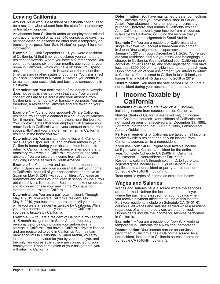### <span id="page-5-0"></span>**Leaving California**

Any individual who is a resident of California continues to be a resident when absent from the state for a temporary or transitory purpose.

An absence from California under an employment-related contract for a period of at least 546 consecutive days may be considered an absence for other than a temporary or transitory purpose. See "Safe Harbor" on page 4 for more information.

**Example 3 –** Until September 2019, you were a resident of California. At that time, you declared yourself to be a resident of Nevada, where you have a summer home. You continue to spend six or seven months each year at your home in California, which you have retained. You spend only three to four months in Nevada and the rest of the time traveling in other states or countries. You transferred your bank accounts to Nevada. However, you continue to maintain your social club and business connections in California.

**Determination:** Your declaration of residency in Nevada does not establish residency in that state. Your closest connections are to California and your absence from California is for temporary or transitory purposes. You are, therefore, a resident of California and are taxed on your income from all sources.

**Example 4 –** You and your spouse/RDP are California residents. You accept a contract to work in South America for 16 months. You lease an apartment near the job site. Your contract states that your employer will arrange your return back to California when your contract expires. Your spouse/RDP and your children will remain in California residing in the home you own.

**Determination:** You maintain strong ties with California because your spouse/RDP and children remain in your California home during your absence. Your intent is to return to California, and your absence is temporary and transitory. You remain a California resident during your absence. You are taxed on income from all sources, including income earned in South America.

**Example 5 –** You receive and accept a permanent job offer in Spain. You and your spouse/RDP sell your home in California, pack all of your possessions and move to Spain on May 5, 2019, with your children. You lease an apartment and enroll your children in school in Spain. You obtain a driver's license from Spain and make numerous social connections in your new home. You have no intention of returning to California.

**Determination:** You are a part-year resident. Through May 4, 2019, you were a California resident. On May 5, 2019, you became a nonresident. All your income while you were a resident is taxable by California. While you are a nonresident, only income from California sources is taxable by California.

**Example 6 –** You are a resident of California. You accept a 15-month assignment in Saudi Arabia. You put your personal belongings, including your automobile, in storage in California. You have a California driver's license and are registered to vote in California. You maintain bank accounts in California. In Saudi Arabia, you stay in a compound provided for you by your employer, and the only ties you establish there are connected to your employment. Upon completion of your assignment, you will return to California.

**Determination:** You have maintained greater connections with California than you have established in Saudi Arabia. Your absence is for a temporary or transitory purpose. Therefore, you remain a California resident. As a California resident, your income from all sources is taxable by California, including the income that you earned from your assignment in Saudi Arabia.

**Example 7 –** You are a resident of California and a single taxpayer. You accept a three-year assignment in Japan. Your assignment in Japan covers the period January 1, 2018, through December 31, 2020. You rented out your residence and put your truck and belongings in storage in California. You maintained your California bank accounts, driver's license, and voter registration. You have less than \$200,000 of intangible income during each year. Upon completion of your assignment, you intend to return to California. You returned to California to visit family no longer than a total of 45 days during 2018 or 2019.

**Determination:** You meet the safe harbor rule. You are a nonresident during your absence from the state.

# **I Income Taxable by California**

**Residents** of California are taxed on ALL income, including income from sources outside California.

**Nonresidents** of California are taxed only on income from California sources. Nonresidents of California are not taxed on pensions received after December 31, 1995. For more information, get FTB Pub. 1005, Pension and Annuity Guidelines.

**Part-year residents** of California are taxed on all income received while a resident and only on income from California sources while a nonresident.

If you use Form 540NR, figure your taxable income as if you were a California resident for the entire year. Complete Schedule CA (540NR), California Adjustments — Nonresidents or Part-Year Residents, column A through column D, to figure total adjusted gross income (AGI). Figure California AGI applicable to a nonresident or part-year resident on Schedule CA (540NR), column E.

Treat specific types of income as explained below.

#### **Wages and Salaries**

Wages and salaries have a source where the services are performed. Neither the location of the employer, where the payment is issued, nor your location when you receive payment affect the source of this income. Part-year residents include on Schedule CA (540NR), column E all wages and salaries earned while a resident, regardless of where the services were performed. Nonresidents include the income for services performed in California.

**Example 1 –** You are a resident of New York working temporarily in California for a New York corporation.

**Determination:** Your income earned for services performed in California has a California source. As a nonresident, include this California source income on Schedule CA (540NR), column E.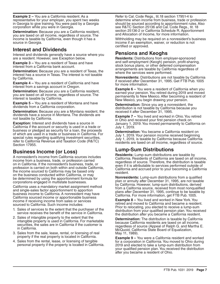**Example 2 –** You are a California resident. As a representative for your employer, you spent two weeks in Georgia to give training. You were paid by a Georgia corporation while you were in Georgia.

**Determination:** Because you are a California resident, you are taxed on all income, regardless of source. The income is taxable by California, even though it has a source in Georgia.

### **Interest and Dividends**

Interest and dividends generally have a source where you are a resident. However, see Exception below.

**Example 3 –** You are a resident of Texas and have interest from a California bank account.

**Determination:** Because you are a resident of Texas, the interest has a source in Texas. The interest is not taxable by California.

**Example 4 –** You are a resident of California and have interest from a savings account in Oregon.

**Determination:** Because you are a California resident, you are taxed on all income, regardless of source. The interest is taxable by California.

**Example 5 –** You are a resident of Montana and have dividends from a California corporation.

**Determination:** Because you are a Montana resident, the dividends have a source in Montana. The dividends are not taxable by California.

**Exception:** Interest and dividends have a source in California if the account or security is used in a trade or business or pledged as security for a loan, the proceeds of which are used in a trade or business in California. For special rules regarding qualifying investment securities, refer to California Revenue and Taxation Code (R&TC) Section 17955.

# **Business Income (or Loss)**

A nonresident's income from California sources includes income from a business, trade, or profession carried on in California. If the nonresident's business, trade, or profession is carried on both within and outside California, the income sourced to California may be based only on the business conducted within California, or may be determined by using the apportionment formula for corporations engaged in multistate businesses.

California uses a mandatory market assignment method and single-sales factor apportionment to apportion business income to California. A nonresident may have California sourced income or apportionable business income if receiving income from sales or services sourced to California. Such income includes:

- 1. Sales of services to the extent that the purchaser of the service receives the benefit of the service in California.
- 2. Sales of intangible property to the extent that the intangible property is used in California. For marketable securities, the sales are in California if the customer is in California.
- 3. Sales from the sale, lease, rental, or licensing of real property if the real property is located in California.
- 4. Sales from the rental, lease, or licensing of tangible personal property if the property is located in California.

Refer to Cal. Code Regs., tit.18 section 17951-4 to determine when income from business, trade or profession should be sourced according to apportionment rules. Also see R&TC Section 25136 and Cal. Code Regs., tit. 18 section 25136-2 or California Schedule R, Apportionment and Allocation of Income, for more information.

Withholding may be required on a nonresident's business income if an exemption, waiver, or reduction is not certified or approved.

### **Pensions and Keoghs**

**Residents:** Distributions from employer-sponsored and self-employment (Keogh) pension, profit-sharing, stock bonus plans, or other deferred compensation arrangements are taxable by California regardless of where the services were performed.

**Nonresidents:** Distributions are not taxable by California if received after December 31, 1995. Get FTB Pub. 1005 for more information.

**Example 6 –** You were a resident of California when you earned your pension. You retired during 2019 and moved permanently to New Mexico. After becoming a resident of New Mexico, you begin drawing your pension.

**Determination:** Since you are a nonresident, the distribution is not taxable by California because you received it after December 31, 1995.

**Example 7 –** You lived and worked in Ohio. You retired in Ohio and received your first pension check on January 1, 2019. You moved permanently to California on July 1, 2019.

**Determination:** You became a California resident on July 1, 2019. Your pension income received beginning July 1, 2019, is taxable by California because California residents are taxed on all income, regardless of source.

# **Lump-Sum Distributions**

**Residents:** Lump-sum distributions are taxable by California. Residents of California are taxed on all income, regardless of source. Therefore, the distribution is taxable even if it is attributable to services performed outside of California and accrued prior to your becoming a California resident.

**Nonresidents:** Lump-sum distributions from a qualified plan or annuity after December 31, 1995, are not taxable by California. However, lump-sum distributions, derived from a California source, received from most nonqualified plans after December 31, 1995, continue to be taxable by California. For more information, get FTB Pub. 1005.

**Example 8 –** You lived and worked in New York. You retired and moved to California and became a resident. Prior to relocating, you elected to receive a lump-sum distribution from your qualified pension plan. You received the distribution after you became a California resident.

**Determination:** The distribution is taxable by California because California residents are taxed on all income, regardless of source (Appeal of Ralph G. and Martha E. McQuoid, California State Board of Equalization, May 11, 1989).

**Example 9 –** You were a California resident and worked for a corporation in California. You moved to Ohio during 2019 and elected to take a lump-sum distribution from your qualified pension plan. You received the distribution after you became a resident of Ohio.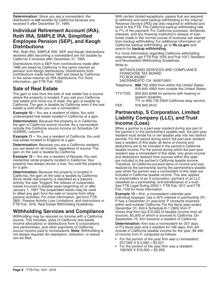**Determination:** Since you are a nonresident, the distribution is **not** taxable by California because you received it after December 31, 1995.

#### **Individual Retirement Account (IRA), Roth IRA, SIMPLE IRA, Simplified Employee Pension (SEP), and Keogh Distributions**

IRA, Roth IRA, SIMPLE IRA, SEP, and Keogh distributions received after becoming a nonresident are not taxable by California if received after December 31, 1995.

Distributions from a SEP from contributions made after 1986 are taxed by California in the same manner as pension and Keogh distributions. Distributions from contributions made before 1987 are taxed by California in the same manner as IRA distributions. For more information, get FTB Pub. 1005.

# **Sale of Real Estate**

The gain or loss from the sale of real estate has a source where the property is located. If you sell your California real estate and move out of state, the gain is taxable by California. The gain is taxable by California even if the real estate is sold when you are a nonresident.

**Example 10 –** You are a resident of Idaho. You sold undeveloped real estate located in California at a gain.

**Determination:** Because the property is in California, the gain is California source income. As a nonresident, include this California source income on Schedule CA (540NR), column E.

**Example 11 –** You are a resident of California. You sold real estate located in England at a gain.

**Determination:** Because you are a California resident, you are taxed on all income, regardless of source. The gain on the sale is taxable by California.

**Example 12 –** You are a resident of Nevada. You own residential rental property located in California. Your property has always shown a loss. You sold the property for a gain.

**Determination:** Because the property is located in California, the gain on the sale is taxable by California. Since rental real property is classified as a passive activity, the sale "triggers" the release of suspended losses incurred in taxable years beginning on or after January 1, 1987. The suspended losses may be used to offset any gain from the sale or income from other passive activities. For more information, get form FTB 3801, Passive Activity Loss Limitations, and instructions or FTB Pub. 1016, Real Estate Withholding Guidelines.

# **Withholding Services and Compliance**

Withholding may be required on income with a California source. This includes, sales of California real estate, income allocations or distributions from S corporations and partnerships, and other payments of California source income paid to nonresidents. **Note:** Withholding is not always required. An exemption, reduction, or waiver can be filed.

With certain limited exceptions, payers that are required to withhold and remit backup withholding to the Internal Revenue Service (IRS) are also required to withhold and remit to the FTB. The California backup withholding rate is 7% of the payment. For California purposes, dividends, interests, and any financial institution's release of loan funds made in the normal course of business are exempt from backup withholding. For additional information on California backup withholding, go to **ftb.ca.gov** and search for **backup withholding**.

For more information regarding California withholding requirements, get FTB Pub 1016 and Pub 1017, Resident and Nonresident Withholding Guidelines. Write to:

WITHHOLDING SERVICES AND COMPLIANCE FRANCHISE TAX BOARD PO BOX 942867 SACRAMENTO CA 94267-0651

- Telephone: **888**.792.4900 from within the United States 916.845.4900 from outside the United States
- TTY/TDD: 800.822.6268 for persons with hearing or speech disability
- 711 or 800.735.2929 California relay service FAX: 916.845.9512

#### **Partnership, S Corporation, Limited Liability Company (LLC), and Trust Income (Loss)**

When a partner is a part-year resident during any part of the partner's or the partnership's taxable year, the part-year resident must divide his or her taxable year into two distinct periods. For the period during which the part-year resident was a resident of this state, all items of income and deductions are to be included in the partner's California taxable income. For the period during which the part-year resident was a nonresident of this state, only gross income and deductions realized from sources within this state are included in the partner's California taxable income. Therefore, all California-sourced items of income and loss realized by the partnership during the partnership's taxable year when the partner was a nonresident of this state are included in California taxable income. This also applies to shareholders of an S corporation, partners of an LLC classified as a partnership, and beneficiaries of a trust. See FTB Legal Ruling 2003-1, FTB Pub. 1017, and FTB Pub. 1100 for more information.

**Example 13 –** Kim, a nonresident calendar year individual taxpayer, has a 50% interest in partnership (P). P has a December 31 year-end. P conducts business within and outside California. For the fiscal year ended December 31, Kim's Schedule K-1 (565) from P shows that Kim has \$10,000 of taxable income from all sources, \$5,000 of which is sourced to California. On September 15, Kim became a resident of California.

**Determination:** Kim was a nonresident for 257 days of P's fiscal year and a resident for 108 days. Kim will include in California taxable income for the year, \$6,480 of income from P, computed as follows:

- **•** For the portion of the year Kim was a nonresident:  $257/365$  X \$ 5,000 = \$3,521
- **•** For the portion of the year Kim was a resident:  $108/365$  X \$10,000 = \$2,959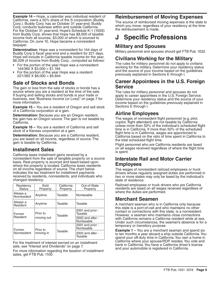<span id="page-8-0"></span>**Example 14 –** Hope, a calendar year individual resident of California, owns a 50% share of the S corporation (Buddy Corp.). Buddy Corp. has an October 31 year-end. Buddy Corp. conducts business within and outside California. For the October 31 year-end, Hope's Schedule K-1 (100S) from Buddy Corp. shows that Hope has \$8,000 of taxable income from all sources, \$3,000 of which is sourced to California. On June 10, Hope became a nonresident taxpayer.

**Determination:** Hope was a nonresident for 144 days of Buddy Corp.'s fiscal year-end and a resident for 221 days. Hope will include in California taxable income for the year, \$6,028 of income from Buddy Corp., computed as follows:

- For the portion of the year Hope was a nonresident:<br>144/365 X \$3,000 = \$1,184
- For the portion of the year Hope was a resident:  $221/365$  X \$8,000 = \$4,844

### **Sale of Stocks and Bonds**

The gain or loss from the sale of stocks or bonds has a source where you are a resident at the time of the sale. If buying and selling stocks and bonds is your trade or business, see "Business Income (or Loss)" on page 7 for more information.

**Example 15 –** You are a resident of Oregon and sell stock of a California corporation at a gain.

**Determination:** Because you are an Oregon resident, the gain has an Oregon source. The gain is not taxable by California.

**Example 16 –** You are a resident of California and sell stock of a Kansas corporation at a gain.

**Determination:** Because you are a California resident, you are taxed on all income, regardless of source. The gain is taxable by California.

# **Installment Sales**

California taxes installment gains received by a nonresident from the sale of tangible property on a source basis. Real property is sourced and taxed based upon where the property is located. California taxes residents on all income regardless of source. The chart below indicates the tax treatment for installment payments received by residents, nonresidents, and individuals who changed residency:

| Residency<br><b>Status</b> | Sold<br>Property                  | California<br>Property | Out-of-State<br>Property       |
|----------------------------|-----------------------------------|------------------------|--------------------------------|
| Always a<br>Nonresident    | Anytime                           | Taxable                | Nontaxable                     |
| Always a<br>Resident       | Anytime                           | Taxable                | Taxable                        |
| Former                     | Prior to<br>Taxable<br>moving out |                        | 2001 and prior -<br>Taxable    |
| Resident                   |                                   |                        | 2002 and after -<br>Nontaxable |
| Former                     | Prior to                          |                        | 2001 and prior -<br>Nontaxable |
| Nonresident                | moving in                         | Taxable                | $2002$ and after -<br>Taxable  |

For the treatment of interest earned on an installment sale, see "Interest and Dividends" on page 7.

For more information regarding the taxation of installment sales, get FTB Pub. 1100.

### **Reimbursement of Moving Expenses**

The source of reimbursed moving expenses is the state to which you move, regardless of your residency at the time the reimbursement is made.

# **J Specific Professions**

### **Military and Spouses**

Military personnel and spouses should get FTB Pub. 1032.

#### **Civilians Working for the Military**

The rules for military personnel do not apply to civilians working for the military. Determine your residency status and the source of your income based on the guidelines previously explained in Sections E through I.

#### **Career Appointees in the U.S. Foreign Service**

The rules for military personnel and spouses do not apply to career appointees in the U.S. Foreign Service. Determine your residency status and the source of your income based on the guidelines previously explained in Sections E through I.

# **Airline Employees**

The wages of nonresident flight personnel (e.g. pilot, copilot, flight attendant) are not taxable by California unless more than 50% of the individual's scheduled flight time is in California. If more than 50% of the scheduled flight time is in California, wages are apportioned to California based on the ratio of time spent in California to the total scheduled flight time.

Flight personnel who are California residents are taxed on all wages received regardless of where the flight time is spent.

#### **Interstate Rail and Motor Carrier Employees**

The wages of nonresident railroad employees or truck drivers whose regularly assigned duties are performed in two or more states may only be taxed by the individual's state of residence.

Railroad employees or truck drivers who are California residents are taxed on all wages received regardless of where the duties are performed.

#### **Merchant Seamen**

A merchant seaman who is in California only because this state is a port-of-call and who maintains no other contact or connections with this state, is a nonresident. However, a seaman who maintains close connections with California remains a California resident while at sea. Under such circumstances, the seaman's absence is for a temporary or transitory purpose.

**Example 1 –** You are a merchant seaman and spend six to ten months a year aboard a ship outside California. You spend your off-duty time in California. You own a home in California where your spouse/RDP resides. You vote and bank in California. You have a California driver's license and your automobile is registered in California.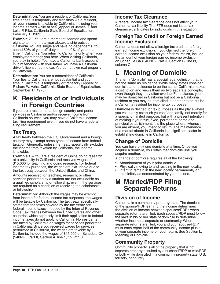<span id="page-9-0"></span>**Determination:** You are a resident of California. Your time at sea is temporary and transitory. As a resident, all your income is taxable by California, including your income earned while at sea (Appeal of James H. and Leila P. Pike, California State Board of Equalization, February 1, 1983).

**Example 2 –** You are a merchant seaman and spend eight to ten months a year aboard a ship outside California. You are single and have no dependents. You spend 50% of your off-duty time or 10% of your total time in California. You return to California only when your employment brings you here. When visiting California, you stay in hotels. You have a California bank account in joint tenancy with your father. You have a California driver's license, but no car. You do not own real property in California.

**Determination:** You are a nonresident of California. Your ties to California are not substantial and your time in California is temporary or transitory (Appeal of Richard W. Vohs, California State Board of Equalization, September 17, 1973).

# **K Residents of or Individuals in Foreign Countries**

If you are a resident of a foreign country and perform services in California and/or receive income from California sources, you may have a California income tax filing requirement even if you do not have a federal filing requirement.

# **Tax Treaty**

A tax treaty between the U.S. Government and a foreign country may exempt some types of income from federal taxation. Generally, unless the treaty specifically excludes the income from taxation by California, the income is taxable.

**Example 1 –** You are a resident of China doing research at a university in California and received wages of \$15,000 for teaching and doing research. For federal income tax purposes, the wages are excludable due to the tax treaty between the United States and China.

Amounts received for teaching, research, or other services performed by a student are not excludable as a qualified scholarship or fellowship, even if the services are required as a condition of receiving the scholarship or fellowship.

**Determination:** Although the wages may be exempt from income for federal income tax purposes, the wages will be taxable by California. The tax treaty specifically states that the taxes covered by the tax treaty are federal income taxes imposed by the Internal Revenue Code. Tax treaties between the United States and other countries which expressly limit their application to federal income taxes do not apply to California. Nonresidents are taxed by California on wages for services performed in California. Since you received wages for services performed in California, the wages are taxable by California. Include the wages of \$15,000 on Schedule CA (540NR), Part II, Section A, line 1, column C.

### **Income Tax Clearance**

A federal income tax clearance does not affect your California tax liability. The FTB does not issue tax clearance certificates for individuals in this situation.

### **Foreign Tax Credit or Foreign Earned Income Exclusion**

California does not allow a foreign tax credit or a foreign earned income exclusion. If you claimed the foreign earned income exclusion on your federal return, include the amount of your foreign earned income exclusion on Schedule CA (540NR), Part II, Section B, line 8f, column C.

# **L Meaning of Domicile**

The term "domicile" has a special legal definition that is not the same as residence. While many states consider domicile and residence to be the same, California makes a distinction and views them as two separate concepts, even though they may often overlap. For instance, you may be domiciled in California but not be a California resident or you may be domiciled in another state but be a California resident for income tax purposes.

**Domicile** is defined for tax purposes as the place where you voluntarily establish yourself and family, not merely for a special or limited purpose, but with a present intention of making it your true, fixed, permanent home and principal establishment. It is the place where, whenever you are absent, you intend to return. The maintenance of a marital abode in California is a significant factor in establishing domicile in California.

# **Change of Domicile**

You can have only one domicile at a time. Once you acquire a domicile, you retain that domicile until you acquire another.

A change of domicile requires all of the following:

- **•** Abandonment of your prior domicile.
- **•** Physically moving to and residing in the new locality.
- **•** Intent to remain in the new locality permanently or indefinitely as demonstrated by your actions.

# **M Married/RDP Filing Separate Returns**

# **Division of Income**

California is a community property state. The domicile of the spouse/RDP earning the income determines the division of income between spouses/RDPs when separate returns are filed. Each spouse/RDP must follow the laws in his or her state of domicile to determine whether income is separate or community. When separate returns are filed, you and your spouse/RDP must each report half of the community income plus all of your separate income on your return. See Section L, Meaning of Domicile.

# **Community Property**

Community property is all of the property that is not separate property acquired by a husband/RDP or wife/RDP or both while domiciled in a community property state, U.S. territory, or country.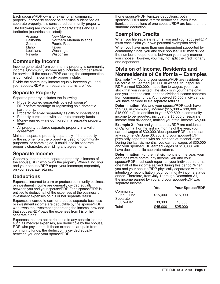Each spouse/RDP owns one-half of all community property. If property cannot be specifically identified as separate property, it is considered community property.

The following are community property states and U.S. territories (countries not listed):

| Arizona    | New Mexico               |
|------------|--------------------------|
| California | Northern Mariana Islands |
| Guam       | <b>Puerto Rico</b>       |
| Idaho      | Texas                    |
| Louisiana  | Washington               |
| Nevada     | Wisconsin                |
|            |                          |

#### **Community Income**

Income generated from community property is community income. Community income also includes compensation for services if the spouse/RDP earning the compensation is domiciled in a community property state.

Divide the community income equally between you and your spouse/RDP when separate returns are filed.

# **Separate Property**

Separate property includes the following:

- **•** Property owned separately by each spouse/ RDP before marriage or registering as a domestic
- 
- partnership. **•** Property received separately as gifts or inheritances. **•** Property purchased with separate property funds. **•** Money earned while domiciled in a separate property
- state. **•** All property declared separate property in a valid
- agreement.

Maintain separate property separately. If the property or the income from the property is used for community purposes, or commingled, it could lose its separate property character, overriding any agreements.

#### **Separate Income**

Generally, income from separate property is income of the spouse/RDP who owns the property. When filing, you and your spouse/RDP report your income(s) separately on your separate returns.

# **Deductions**

Expenses incurred to earn or produce community business or investment income are generally divided equally between you and your spouse/RDP. Each spouse/RDP is entitled to deduct half of the expenses of the business or investment expenses on his or her separate return.

Expenses incurred to earn or produce separate business or investment income are deductible by the spouse/RDP who owns the investment generating the income, provided that spouse/RDP pays the expenses from his or her separate funds.

Expenses that are not attributable to any specific income, such as medical expenses, are deductible by the spouse/ RDP who pays them. If these expenses are paid from community funds, the deduction is divided equally between you and your spouse/RDP.

If one spouse/RDP itemizes deductions, both spouses/RDPs must itemize deductions, even if the itemized deductions of one spouse/RDP are less than the standard deduction.

### **Exemption Credits**

When you file separate returns, you and your spouse/RDP must each claim your own personal exemption credit.

When you have more than one dependent supported by community funds, you and your spouse/RDP may divide the number of dependents between you in any manner you choose. However, you may not split the credit for any one dependent.

### **Division of Income, Residents and Nonresidents of California – Examples**

**Example 1 –** You and your spouse/RDP are residents of California. You earned \$15,000 in wages. Your spouse/ RDP earned \$30,000. In addition to wages, you have stock that you inherited. The stock is in your name only, and you keep the stock and the dividend income separate from community funds. You received \$5,000 in dividends. You have decided to file separate returns.

**Determination:** You and your spouse/RDP each have \$22,500 in community income:  $(\$15,000 + \$30,000 =$  $$45,000 \div 2$ ). In addition to your \$22,500 in community income to be reported, include the \$5,000 of separate income from dividends, making your total income \$27,500.

**Example 2 –** You and your spouse/RDP are residents of California. For the first six months of the year, you earned wages of \$30,000. Your spouse/RDP did not earn any income. On June 30, you and your spouse/RDP physically separated with no intention of reconciliation. During the last six months, you earned wages of \$30,000 and your spouse/RDP earned wages of \$10,000. You have decided to file separate returns.

**Determination:** For the first six months of the year, your earnings were community income. You and your spouse/RDP must each report on your individual returns one half of the income earned during this period. When you and your spouse/RDP physically separated with no intention of reconciliation, your community income status ended. Therefore, from July 1 through December 31, the income earned by you and your spouse/RDP was separate income.

| You      | <b>Your Spouse/RDP</b> |
|----------|------------------------|
| \$15,000 | \$15,000               |
| 30,000   | 10,000                 |
| \$45,000 | \$25,000               |
|          |                        |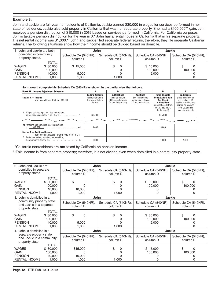#### **Example 3:**

John and Jackie are full-year nonresidents of California. Jackie earned \$30,000 in wages for services performed in her state of residence. Jackie also sold property in California that was her separate property. She had a \$100,000\*\* gain. John received a pension distribution of \$10,000 in 2019 based on services performed in California. For California purposes, John's taxable pension distribution for the year is 0.\* John has a rental house in California that is his separate property. His net rental income was \$1,000.\*\* John and Jackie filed separate federal returns, therefore, they file separate California returns. The following situations show how their income should be divided based on domicile.

| 1. John and Jackie are both<br>domiciled in community |          | John                 |                      | <b>Jackie</b>        |                      |  |
|-------------------------------------------------------|----------|----------------------|----------------------|----------------------|----------------------|--|
|                                                       |          | Schedule CA (540NR), | Schedule CA (540NR), | Schedule CA (540NR), | Schedule CA (540NR), |  |
| property states.<br>column D                          |          | column E             | column D             | column E             |                      |  |
|                                                       | TOTAL    |                      |                      |                      |                      |  |
| <b>WAGES</b>                                          | \$30,000 | \$15,000             | 0                    | \$15,000             |                      |  |
| <b>GAIN</b>                                           | 100,000  |                      |                      | 100,000              | 100,000              |  |
| <b>PENSION</b>                                        | 10.000   | 5.000                |                      | 5.000                |                      |  |
| <b>RENTAL INCOME</b>                                  | .000     | 000.1                | 1.000                |                      |                      |  |

#### **John would complete his Schedule CA (540NR) as shown in the partial view that follows.**

| <b>Income Adiustment Schedule</b><br>Part II                                                                    | Α                                                                          | в                                                                                     | С                                                                                   | D                                                                                                                                                             | E                                                                                                                                               |
|-----------------------------------------------------------------------------------------------------------------|----------------------------------------------------------------------------|---------------------------------------------------------------------------------------|-------------------------------------------------------------------------------------|---------------------------------------------------------------------------------------------------------------------------------------------------------------|-------------------------------------------------------------------------------------------------------------------------------------------------|
| Section A - Income<br>from federal Form 1040 or 1040-SR                                                         | <b>Federal Amounts</b><br>(taxable amounts<br>from your federal<br>return) | <b>Subtractions</b><br>See instructions<br>(difference between<br>CA and federal law) | <b>Additions</b><br>See instructions<br>(difference between)<br>CA and federal law) | <b>Total Amounts</b><br><b>Using CA Law As If</b><br><b>You Were A</b><br><b>CA Resident</b><br>(subtract col. B from<br>col. A: add col. C<br>to the result) | <b>CA Amounts</b><br>(income earned or<br>received as a CA<br>resident and income<br>earned or received<br>from CA sources<br>as a nonresident) |
| 1 Wages, salaries, tips, etc. See instructions                                                                  | \$15,000                                                                   |                                                                                       |                                                                                     | \$15,000                                                                                                                                                      |                                                                                                                                                 |
|                                                                                                                 |                                                                            |                                                                                       |                                                                                     |                                                                                                                                                               |                                                                                                                                                 |
| <b>4c</b> Pensions and annuities. See instructions.<br>$$10,000$ 4d                                             | 5.000                                                                      |                                                                                       |                                                                                     | 5.000                                                                                                                                                         |                                                                                                                                                 |
| Section B - Additional Income<br>from federal Schedule 1 (Form 1040 or 1040-SR)                                 |                                                                            |                                                                                       |                                                                                     |                                                                                                                                                               |                                                                                                                                                 |
| 5 Rental real estate, royalties, partnerships,<br>S corporations, trusts, etc. $\dots\dots\dots\dots\dots\dots$ | 1.000                                                                      |                                                                                       |                                                                                     | 1.000                                                                                                                                                         | 1.000                                                                                                                                           |

\*California nonresidents are **not** taxed by California on pension income.

\*\*This income is from separate property; therefore, it is not divided even when domiciled in a community property state.

| 2. John and Jackie are                               | John                                         |                      | <b>Jackie</b>        |                      |  |
|------------------------------------------------------|----------------------------------------------|----------------------|----------------------|----------------------|--|
| domiciled in separate                                | Schedule CA (540NR),<br>Schedule CA (540NR), |                      | Schedule CA (540NR), | Schedule CA (540NR), |  |
| property states.                                     | column D                                     | column E             | column D             | column E             |  |
| <b>TOTAL</b>                                         |                                              |                      |                      |                      |  |
| \$30.000<br><b>WAGES</b>                             | \$<br>O                                      | \$<br>$\Omega$       | \$30,000             | \$<br><sup>0</sup>   |  |
| GAIN<br>100,000                                      |                                              |                      | 100,000              | 100,000              |  |
| <b>PENSION</b><br>10.000                             | 10,000                                       |                      |                      |                      |  |
| <b>RENTAL INCOME</b><br>1,000                        | 1,000                                        | 1,000                |                      | $\Omega$             |  |
| 3. John is domiciled in a                            | <b>John</b>                                  |                      | <b>Jackie</b>        |                      |  |
| community property state<br>and Jackie in a separate | Schedule CA (540NR),                         | Schedule CA (540NR), | Schedule CA (540NR), | Schedule CA (540NR), |  |
| property state.                                      | column D                                     | column E             | column D             | column E             |  |
| TOTAL                                                |                                              |                      |                      |                      |  |
| \$30,000<br><b>WAGES</b>                             | \$<br>0                                      | \$<br>$\Omega$       | \$30,000             | \$<br>$\Omega$       |  |
| GAIN<br>100,000                                      |                                              |                      | 100,000              | 100,000              |  |
| <b>PENSION</b><br>10,000                             | 5,000                                        |                      | 5,000                |                      |  |
| <b>RENTAL INCOME</b><br>1,000                        | 1,000                                        | 1,000                | O                    | 0                    |  |
| 4. John is domiciled in a                            | John                                         |                      | <b>Jackie</b>        |                      |  |
| separate property state                              | Schedule CA (540NR),                         | Schedule CA (540NR), | Schedule CA (540NR), | Schedule CA (540NR), |  |
| and Jackie in a community                            | column D                                     | column E             | column D             | column E             |  |
| property state.<br><b>TOTAL</b>                      |                                              |                      |                      |                      |  |
| <b>WAGES</b><br>\$30,000                             | \$15,000                                     | \$<br>0              | \$15,000             | \$<br>0              |  |
| <b>GAIN</b><br>100,000                               | Ω                                            |                      | 100,000              | 100,000              |  |
| <b>PENSION</b><br>10,000                             | 10.000                                       |                      |                      |                      |  |
| <b>RENTAL INCOME</b><br>1,000                        | 1,000                                        | 1,000                |                      | O                    |  |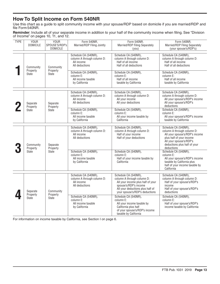# <span id="page-12-0"></span>**How To Split Income on Form 540NR**

Use this chart as a guide to split community income with your spouse/RDP based on domicile if you are married/RDP and file Form540NR.

**Reminder**: Include all of your separate income in addition to your half of the community income when filing. See "Division of Income" on pages 10, 11, and 12.

| <b>TYPE</b> | <b>YOUR</b><br><b>DOMICILE</b>        | <b>YOUR</b><br>SPOUSE'S/RDP's<br><b>DOMICILE</b>                                                                       | Form 540NR.<br>Married/RDP Filing Jointly                                          | Form 540NR,<br>Married/RDP Filing Separately<br>(vou)                                                | Form 540NR,<br>Married/RDP Filing Separately<br>(your spouse's/RDP's)                                                                                                                     |                                                                                                                                                   |
|-------------|---------------------------------------|------------------------------------------------------------------------------------------------------------------------|------------------------------------------------------------------------------------|------------------------------------------------------------------------------------------------------|-------------------------------------------------------------------------------------------------------------------------------------------------------------------------------------------|---------------------------------------------------------------------------------------------------------------------------------------------------|
|             | Community<br>Property<br><b>State</b> | Community                                                                                                              | Schedule CA (540NR),<br>column A through column D:<br>All income<br>All deductions | Schedule CA (540NR),<br>column A through column D:<br>Half of all income<br>Half of all deductions   | Schedule CA (540NR),<br>column A through column D:<br>Half of all income<br>Half of all deductions                                                                                        |                                                                                                                                                   |
|             |                                       |                                                                                                                        | Property<br><b>State</b>                                                           |                                                                                                      | Schedule CA (540NR),<br>column E:<br>All income taxable<br>by California                                                                                                                  | Schedule CA (540NR),<br>column E:<br>Half of all income<br>taxable by California                                                                  |
| Separate    |                                       | Schedule CA (540NR),<br>column A through column D:<br>All income<br>All deductions<br>Separate<br>Property<br>Property |                                                                                    | Schedule CA (540NR),<br>column A through column D:<br>All your income<br>All your deductions         | Schedule CA (540NR),<br>column A through column D:<br>All your spouse's/RDP's income<br>All your spouse's/RDP's<br>deductions                                                             |                                                                                                                                                   |
|             | State                                 | State                                                                                                                  | Schedule CA (540NR),<br>column E:<br>All income taxable<br>by California           | Schedule CA (540NR),<br>column E:<br>All your income taxable by<br>California                        | Schedule CA (540NR),<br>column E:<br>All your spouse's/RDP's income<br>taxable by California                                                                                              |                                                                                                                                                   |
|             | Community<br>Property<br><b>State</b> | Separate<br>Property                                                                                                   | Schedule CA (540NR),<br>column A through column D:<br>All income<br>All deductions | Schedule CA (540NR),<br>column A through column D:<br>Half of your income<br>Half of your deductions | Schedule CA (540NR),<br>column A through column D:<br>All your spouse's/RDP's income<br>plus half of your income<br>All your spouse's/RDP's<br>deductions plus half of your<br>deductions |                                                                                                                                                   |
|             |                                       | <b>State</b>                                                                                                           |                                                                                    | Schedule CA (540NR),<br>column E:<br>All income taxable<br>by California                             | Schedule CA (540NR),<br>column E:<br>Half of your income taxable by<br>California                                                                                                         | Schedule CA (540NR),<br>column E:<br>All your spouse's/RDP's income<br>taxable by California plus<br>half of your income taxable by<br>California |
|             | Separate<br>Property<br><b>State</b>  |                                                                                                                        | Community<br>Property                                                              | Schedule CA (540NR),<br>column A through column D:<br>All income<br>All deductions                   | Schedule CA (540NR),<br>column A through column D:<br>All your income plus half of your<br>spouse's/RDP's income<br>All your deductions plus half of<br>your spouse's/RDP's deductions    | Schedule CA (540NR),<br>column A through column D:<br>Half of your spouse's/RDP's<br>income<br>Half of your spouse's/RDP's<br>deductions          |
|             |                                       |                                                                                                                        | <b>State</b>                                                                       | Schedule CA (540NR),<br>column E:<br>All income taxable<br>by California                             | Schedule CA (540NR),<br>column E:<br>All your income taxable by<br>California plus half<br>of your spouse's/RDP's income<br>taxable by California                                         | Schedule CA (540NR),<br>column E:<br>Half of your spouse's/RDP's<br>income taxable by California                                                  |

For information on income taxable by California, see Section I on page 6.